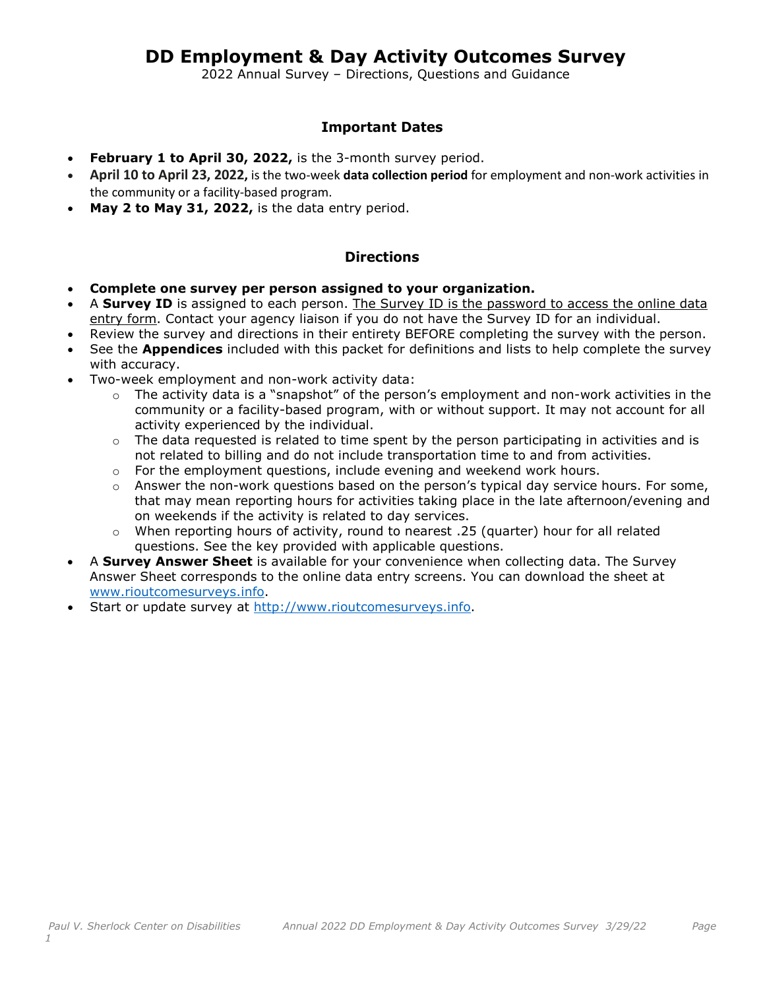# **DD Employment & Day Activity Outcomes Survey**

2022 Annual Survey – Directions, Questions and Guidance

### **Important Dates**

- February 1 to April 30, 2022, is the 3-month survey period.
- **April 10 to April 23, 2022,** is the two-week **data collection period** for employment and non-work activities in the community or a facility-based program.
- **May 2 to May 31, 2022,** is the data entry period.

### **Directions**

- **Complete one survey per person assigned to your organization.**
- A **Survey ID** is assigned to each person. The Survey ID is the password to access the online data entry form. Contact your agency liaison if you do not have the Survey ID for an individual.
- Review the survey and directions in their entirety BEFORE completing the survey with the person.
- See the **Appendices** included with this packet for definitions and lists to help complete the survey with accuracy.
- Two-week employment and non-work activity data:
	- $\circ$  The activity data is a "snapshot" of the person's employment and non-work activities in the community or a facility-based program, with or without support. It may not account for all activity experienced by the individual.
	- $\circ$  The data requested is related to time spent by the person participating in activities and is not related to billing and do not include transportation time to and from activities.
	- $\circ$  For the employment questions, include evening and weekend work hours.
	- $\circ$  Answer the non-work questions based on the person's typical day service hours. For some, that may mean reporting hours for activities taking place in the late afternoon/evening and on weekends if the activity is related to day services.
	- $\circ$  When reporting hours of activity, round to nearest .25 (quarter) hour for all related questions. See the key provided with applicable questions.
- A **Survey Answer Sheet** is available for your convenience when collecting data. The Survey Answer Sheet corresponds to the online data entry screens. You can download the sheet at [www.rioutcomesurveys.info.](http://www.rioutcomesurveys.info/)
- Start or update survey at [http://www.rioutcomesurveys.info.](http://www.rioutcomesurveys.info/)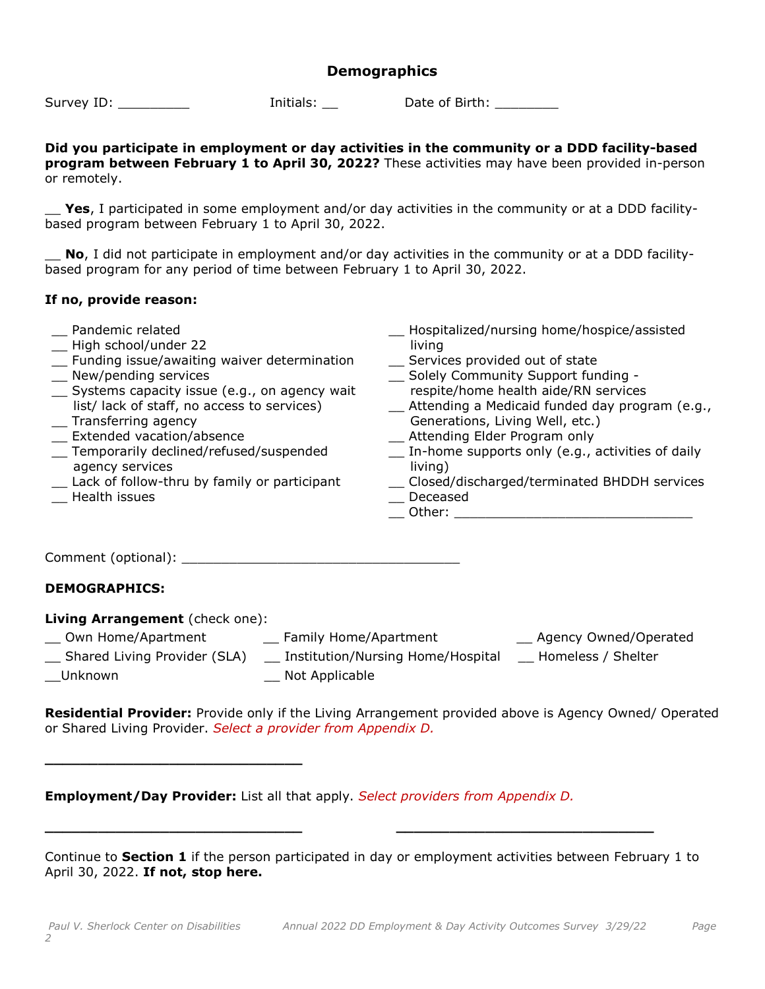### **Demographics**

Survey ID: \_\_\_\_\_\_\_\_\_ Initials: \_\_ Date of Birth: \_\_\_\_\_\_\_\_

#### **Did you participate in employment or day activities in the community or a DDD facility-based program between February 1 to April 30, 2022?** These activities may have been provided in-person or remotely.

**Yes**, I participated in some employment and/or day activities in the community or at a DDD facilitybased program between February 1 to April 30, 2022.

**No**, I did not participate in employment and/or day activities in the community or at a DDD facilitybased program for any period of time between February 1 to April 30, 2022.

#### **If no, provide reason:**

- \_\_ Pandemic related
- \_\_ High school/under 22
- \_\_ Funding issue/awaiting waiver determination \_\_ New/pending services
- \_\_ Systems capacity issue (e.g., on agency wait list/ lack of staff, no access to services)
- \_\_ Transferring agency
- \_\_ Extended vacation/absence
- \_\_ Temporarily declined/refused/suspended agency services
- \_\_ Lack of follow-thru by family or participant \_\_ Health issues
- \_\_ Hospitalized/nursing home/hospice/assisted living
- \_\_ Services provided out of state
- \_\_ Solely Community Support funding respite/home health aide/RN services
- \_\_ Attending a Medicaid funded day program (e.g., Generations, Living Well, etc.)
- \_\_ Attending Elder Program only
- \_\_ In-home supports only (e.g., activities of daily living)
- \_\_ Closed/discharged/terminated BHDDH services \_\_ Deceased
- $\hskip1cm$  Other:  $\hskip1cm$

Comment (optional): \_\_\_\_\_\_\_\_\_\_\_\_\_\_\_\_\_\_\_\_\_\_\_\_\_\_\_\_\_\_\_\_\_\_\_

### **DEMOGRAPHICS:**

#### **Living Arrangement** (check one):

- \_\_ Own Home/Apartment \_\_ Family Home/Apartment \_\_ Agency Owned/Operated
- 

**\_\_\_\_\_\_\_\_\_\_\_\_\_\_\_\_\_\_\_\_\_\_\_\_\_\_\_\_\_**

- 
- 
- \_\_ Shared Living Provider (SLA) \_\_ Institution/Nursing Home/Hospital \_\_ Homeless / Shelter
- \_\_Unknown \_\_ Not Applicable

**Residential Provider:** Provide only if the Living Arrangement provided above is Agency Owned/ Operated or Shared Living Provider. *Select a provider from Appendix D.* 

### **Employment/Day Provider:** List all that apply. *Select providers from Appendix D.*

Continue to **Section 1** if the person participated in day or employment activities between February 1 to April 30, 2022. **If not, stop here.**

**\_\_\_\_\_\_\_\_\_\_\_\_\_\_\_\_\_\_\_\_\_\_\_\_\_\_\_\_\_ \_\_\_\_\_\_\_\_\_\_\_\_\_\_\_\_\_\_\_\_\_\_\_\_\_\_\_\_\_**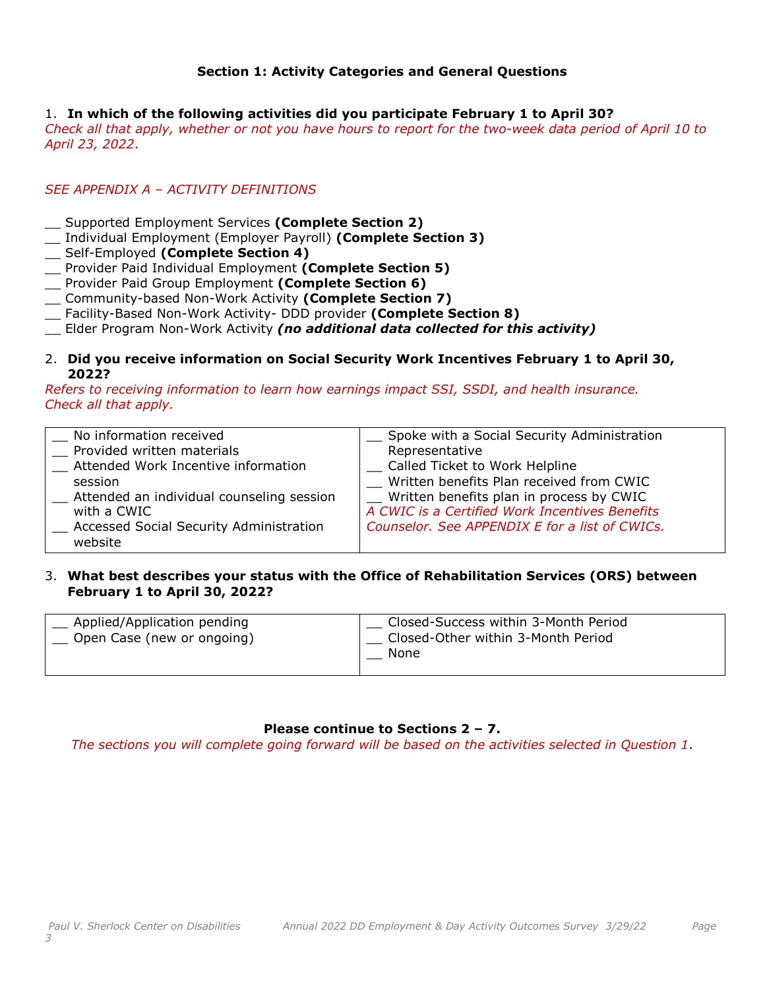### **Section 1: Activity Categories and General Questions**

#### 1. **In which of the following activities did you participate February 1 to April 30?**

*Check all that apply, whether or not you have hours to report for the two-week data period of April 10 to April 23, 2022*.

### *SEE APPENDIX A – ACTIVITY DEFINITIONS*

- \_\_ Supported Employment Services **(Complete Section 2)**
- \_\_ Individual Employment (Employer Payroll) **(Complete Section 3)**
- \_\_ Self-Employed **(Complete Section 4)**
- \_\_ Provider Paid Individual Employment **(Complete Section 5)**
- \_\_ Provider Paid Group Employment **(Complete Section 6)**
- \_\_ Community-based Non-Work Activity **(Complete Section 7)**
- \_\_ Facility-Based Non-Work Activity- DDD provider **(Complete Section 8)**
- \_\_ Elder Program Non-Work Activity *(no additional data collected for this activity)*

#### 2. **Did you receive information on Social Security Work Incentives February 1 to April 30, 2022?**

*Refers to receiving information to learn how earnings impact SSI, SSDI, and health insurance. Check all that apply.*

| No information received                                  | Spoke with a Social Security Administration    |
|----------------------------------------------------------|------------------------------------------------|
| _ Provided written materials                             | Representative                                 |
| Attended Work Incentive information                      | Called Ticket to Work Helpline                 |
| session                                                  | Written benefits Plan received from CWIC       |
| _ Attended an individual counseling session              | Written benefits plan in process by CWIC       |
| with a CWIC                                              | A CWIC is a Certified Work Incentives Benefits |
| <b>Example 2 Accessed Social Security Administration</b> | Counselor. See APPENDIX E for a list of CWICs. |
| website                                                  |                                                |

#### 3. **What best describes your status with the Office of Rehabilitation Services (ORS) between February 1 to April 30, 2022?**

| Applied/Application pending<br>Open Case (new or ongoing) | Closed-Success within 3-Month Period<br>Closed-Other within 3-Month Period<br>None |
|-----------------------------------------------------------|------------------------------------------------------------------------------------|
|-----------------------------------------------------------|------------------------------------------------------------------------------------|

#### **Please continue to Sections 2 – 7.**

*The sections you will complete going forward will be based on the activities selected in Question 1*.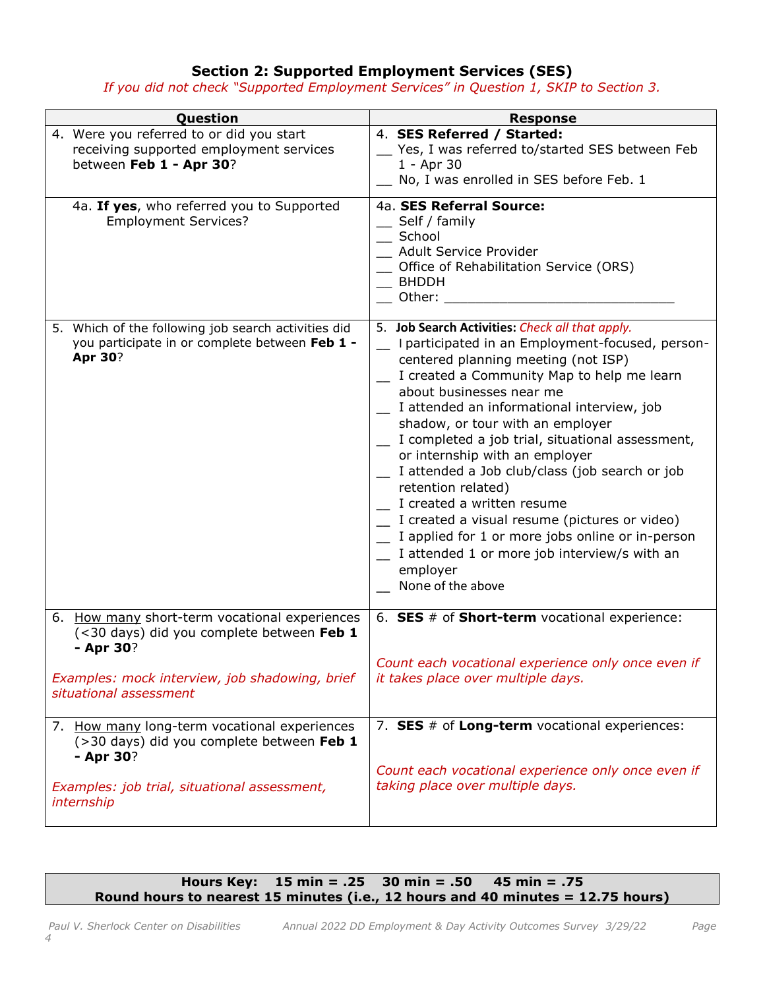## **Section 2: Supported Employment Services (SES)**

*If you did not check "Supported Employment Services" in Question 1, SKIP to Section 3.*

| Question                                                                                                         | <b>Response</b>                                                                                                                                                                                                                                                                                                                                                                                                                                                                                                                                                                                                                                                                                   |
|------------------------------------------------------------------------------------------------------------------|---------------------------------------------------------------------------------------------------------------------------------------------------------------------------------------------------------------------------------------------------------------------------------------------------------------------------------------------------------------------------------------------------------------------------------------------------------------------------------------------------------------------------------------------------------------------------------------------------------------------------------------------------------------------------------------------------|
| 4. Were you referred to or did you start<br>receiving supported employment services<br>between Feb 1 - Apr 30?   | 4. SES Referred / Started:<br>Yes, I was referred to/started SES between Feb<br>1 - Apr 30<br>No, I was enrolled in SES before Feb. 1                                                                                                                                                                                                                                                                                                                                                                                                                                                                                                                                                             |
| 4a. If yes, who referred you to Supported<br><b>Employment Services?</b>                                         | 4a. SES Referral Source:<br>$\equiv$ Self / family<br>_ School<br>Adult Service Provider<br>_ Office of Rehabilitation Service (ORS)<br>BHDDH<br>Other: when the control of the control of the control of the control of the control of the control of the control of the control of the control of the control of the control of the control of the control of the control of                                                                                                                                                                                                                                                                                                                    |
| 5. Which of the following job search activities did<br>you participate in or complete between Feb 1 -<br>Apr 30? | 5. Job Search Activities: Check all that apply.<br>- I participated in an Employment-focused, person-<br>centered planning meeting (not ISP)<br>I created a Community Map to help me learn<br>about businesses near me<br>I attended an informational interview, job<br>shadow, or tour with an employer<br>I completed a job trial, situational assessment,<br>or internship with an employer<br>I attended a Job club/class (job search or job<br>retention related)<br>I created a written resume<br>[1000] I created a visual resume (pictures or video)<br>I applied for 1 or more jobs online or in-person<br>I attended 1 or more job interview/s with an<br>employer<br>None of the above |
| 6. How many short-term vocational experiences<br>(<30 days) did you complete between Feb 1<br>- Apr 30?          | 6. SES # of Short-term vocational experience:<br>Count each vocational experience only once even if                                                                                                                                                                                                                                                                                                                                                                                                                                                                                                                                                                                               |
| Examples: mock interview, job shadowing, brief<br>situational assessment                                         | it takes place over multiple days.                                                                                                                                                                                                                                                                                                                                                                                                                                                                                                                                                                                                                                                                |
| 7. How many long-term vocational experiences<br>(>30 days) did you complete between Feb 1<br>- Apr 30?           | 7. SES # of Long-term vocational experiences:<br>Count each vocational experience only once even if                                                                                                                                                                                                                                                                                                                                                                                                                                                                                                                                                                                               |
| Examples: job trial, situational assessment,<br>internship                                                       | taking place over multiple days.                                                                                                                                                                                                                                                                                                                                                                                                                                                                                                                                                                                                                                                                  |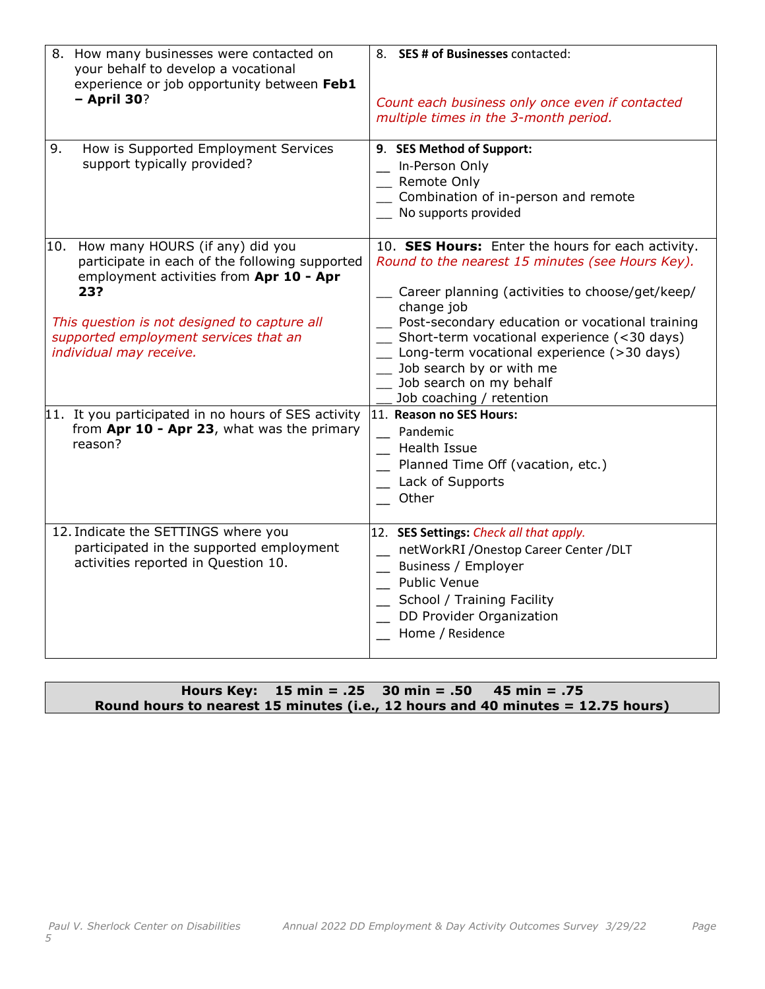| 8. How many businesses were contacted on<br>your behalf to develop a vocational<br>experience or job opportunity between Feb1<br>$-$ April 30?                                                                                                                                                                                                                              | 8. SES # of Businesses contacted:<br>Count each business only once even if contacted<br>multiple times in the 3-month period.                                                                                                                                                                                                                                                                                                                                                                                                              |
|-----------------------------------------------------------------------------------------------------------------------------------------------------------------------------------------------------------------------------------------------------------------------------------------------------------------------------------------------------------------------------|--------------------------------------------------------------------------------------------------------------------------------------------------------------------------------------------------------------------------------------------------------------------------------------------------------------------------------------------------------------------------------------------------------------------------------------------------------------------------------------------------------------------------------------------|
| How is Supported Employment Services<br>9.<br>support typically provided?                                                                                                                                                                                                                                                                                                   | 9. SES Method of Support:<br>In-Person Only<br>Remote Only<br>Combination of in-person and remote<br>No supports provided                                                                                                                                                                                                                                                                                                                                                                                                                  |
| 10. How many HOURS (if any) did you<br>participate in each of the following supported<br>employment activities from Apr 10 - Apr<br>23?<br>This question is not designed to capture all<br>supported employment services that an<br>individual may receive.<br>11. It you participated in no hours of SES activity<br>from Apr 10 - Apr 23, what was the primary<br>reason? | 10. SES Hours: Enter the hours for each activity.<br>Round to the nearest 15 minutes (see Hours Key).<br>Career planning (activities to choose/get/keep/<br>change job<br>Post-secondary education or vocational training<br>Short-term vocational experience (<30 days)<br>Long-term vocational experience (>30 days)<br>Job search by or with me<br>Job search on my behalf<br>Job coaching / retention<br>11. Reason no SES Hours:<br>Pandemic<br><b>Health Issue</b><br>Planned Time Off (vacation, etc.)<br>Lack of Supports<br>Other |
| 12. Indicate the SETTINGS where you<br>participated in the supported employment<br>activities reported in Question 10.                                                                                                                                                                                                                                                      | 12. SES Settings: Check all that apply.<br>netWorkRI / Onestop Career Center / DLT<br>Business / Employer<br><b>Public Venue</b><br>School / Training Facility<br>DD Provider Organization<br>Home / Residence                                                                                                                                                                                                                                                                                                                             |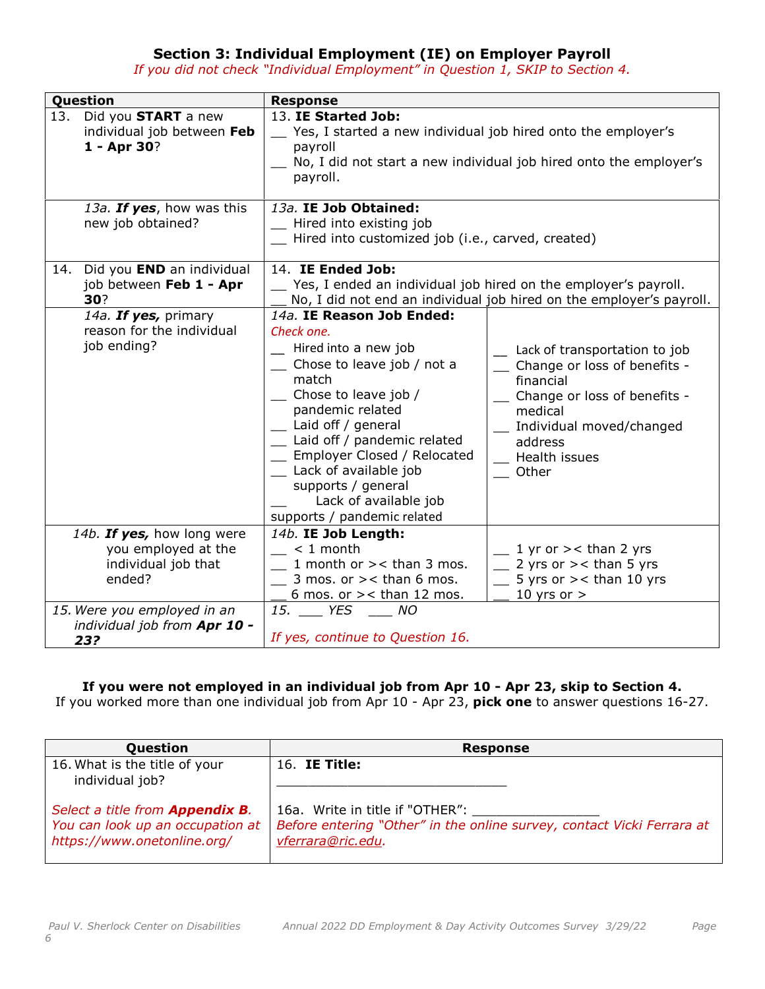## **Section 3: Individual Employment (IE) on Employer Payroll**

*If you did not check "Individual Employment" in Question 1, SKIP to Section 4.*

| Question                                                                           | <b>Response</b>                                                                                                                                                                                                                                                                                                                                       |                                                                                                                                                                                          |  |
|------------------------------------------------------------------------------------|-------------------------------------------------------------------------------------------------------------------------------------------------------------------------------------------------------------------------------------------------------------------------------------------------------------------------------------------------------|------------------------------------------------------------------------------------------------------------------------------------------------------------------------------------------|--|
| 13. Did you <b>START</b> a new<br>individual job between Feb<br>1 - Apr 30?        | 13. IE Started Job:<br>Yes, I started a new individual job hired onto the employer's<br>payroll<br>No, I did not start a new individual job hired onto the employer's<br>payroll.                                                                                                                                                                     |                                                                                                                                                                                          |  |
| 13a. If yes, how was this<br>new job obtained?                                     | 13a. IE Job Obtained:<br>Hired into existing job<br>Hired into customized job (i.e., carved, created)                                                                                                                                                                                                                                                 |                                                                                                                                                                                          |  |
| Did you END an individual<br>14.<br>job between Feb 1 - Apr<br>30?                 | 14. IE Ended Job:<br>Yes, I ended an individual job hired on the employer's payroll.<br>No, I did not end an individual job hired on the employer's payroll.                                                                                                                                                                                          |                                                                                                                                                                                          |  |
| 14a. If yes, primary<br>reason for the individual<br>job ending?                   | 14a. IE Reason Job Ended:<br>Check one.<br>_ Hired into a new job<br>Chose to leave job / not a<br>match<br>_ Chose to leave job /<br>pandemic related<br>Laid off / general<br>_ Laid off / pandemic related<br>Employer Closed / Relocated<br>_ Lack of available job<br>supports / general<br>Lack of available job<br>supports / pandemic related | Lack of transportation to job<br>Change or loss of benefits -<br>financial<br>Change or loss of benefits -<br>medical<br>Individual moved/changed<br>address<br>_ Health issues<br>Other |  |
| 14b. If yes, how long were<br>you employed at the<br>individual job that<br>ended? | 14b. IE Job Length:<br>$< 1$ month<br>1 month or $\ge$ < than 3 mos.<br>$\equiv$ 3 mos. or > < than 6 mos.<br>6 mos. or $>$ < than 12 mos.                                                                                                                                                                                                            | $\frac{1}{2}$ 1 yr or > < than 2 yrs<br>$\angle$ 2 yrs or > < than 5 yrs<br>$\frac{1}{2}$ 5 yrs or > < than 10 yrs<br>10 yrs or $>$                                                      |  |
| 15. Were you employed in an<br>individual job from Apr 10 -<br>23?                 | 15. VES ____ NO<br>If yes, continue to Question 16.                                                                                                                                                                                                                                                                                                   |                                                                                                                                                                                          |  |

### **If you were not employed in an individual job from Apr 10 - Apr 23, skip to Section 4.**

If you worked more than one individual job from Apr 10 - Apr 23, **pick one** to answer questions 16-27.

| Question                                                                                                  | <b>Response</b>                                                                                                                |
|-----------------------------------------------------------------------------------------------------------|--------------------------------------------------------------------------------------------------------------------------------|
| 16. What is the title of your<br>individual job?                                                          | 16. IE Title:                                                                                                                  |
| Select a title from <b>Appendix B.</b><br>You can look up an occupation at<br>https://www.onetonline.org/ | 16a. Write in title if "OTHER":<br>Before entering "Other" in the online survey, contact Vicki Ferrara at<br>vferrara@ric.edu. |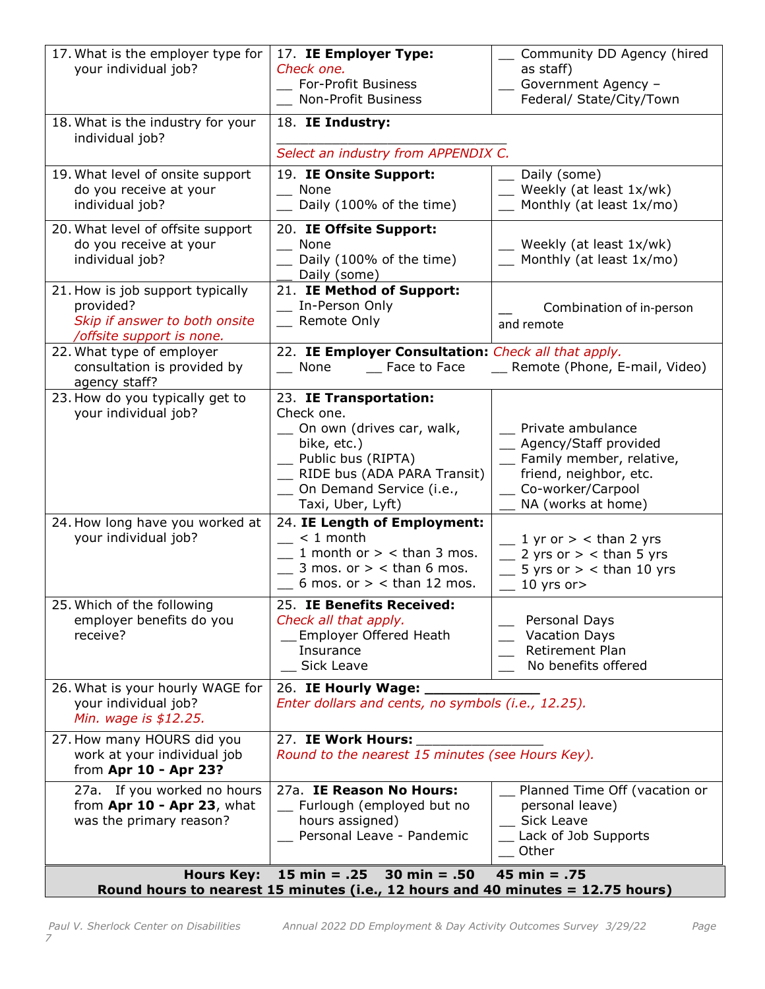| 17. What is the employer type for<br>your individual job?                                                                                                                  | 17. IE Employer Type:<br>Check one.<br>For-Profit Business<br>Non-Profit Business                                                                                                             | Community DD Agency (hired<br>as staff)<br>Government Agency -<br>Federal/ State/City/Town                                                             |
|----------------------------------------------------------------------------------------------------------------------------------------------------------------------------|-----------------------------------------------------------------------------------------------------------------------------------------------------------------------------------------------|--------------------------------------------------------------------------------------------------------------------------------------------------------|
| 18. What is the industry for your<br>individual job?                                                                                                                       | 18. IE Industry:<br>Select an industry from APPENDIX C.                                                                                                                                       |                                                                                                                                                        |
| 19. What level of onsite support<br>do you receive at your<br>individual job?                                                                                              | 19. IE Onsite Support:<br>__ None<br>_ Daily (100% of the time)                                                                                                                               | Daily (some)<br>$\equiv$ Weekly (at least $1x/wk$ )<br>$\equiv$ Monthly (at least 1x/mo)                                                               |
| 20. What level of offsite support<br>do you receive at your<br>individual job?                                                                                             | 20. IE Offsite Support:<br>__ None<br>_ Daily (100% of the time)<br>Daily (some)                                                                                                              | $\equiv$ Weekly (at least 1x/wk)<br>$\equiv$ Monthly (at least 1x/mo)                                                                                  |
| 21. How is job support typically<br>provided?<br>Skip if answer to both onsite<br>/offsite support is none.                                                                | 21. IE Method of Support:<br>_ In-Person Only<br>_ Remote Only                                                                                                                                | Combination of in-person<br>and remote                                                                                                                 |
| 22. What type of employer<br>consultation is provided by<br>agency staff?                                                                                                  | 22. IE Employer Consultation: Check all that apply.<br>__ Face to Face<br>__ None                                                                                                             | __ Remote (Phone, E-mail, Video)                                                                                                                       |
| 23. How do you typically get to<br>your individual job?                                                                                                                    | 23. IE Transportation:<br>Check one.<br>On own (drives car, walk,<br>bike, etc.)<br>_ Public bus (RIPTA)<br>__ RIDE bus (ADA PARA Transit)<br>_ On Demand Service (i.e.,<br>Taxi, Uber, Lyft) | _ Private ambulance<br>_ Agency/Staff provided<br>_ Family member, relative,<br>friend, neighbor, etc.<br>__ Co-worker/Carpool<br>_ NA (works at home) |
| 24. How long have you worked at<br>your individual job?                                                                                                                    | 24. IE Length of Employment:<br>$\frac{1}{2}$ < 1 month<br>1 month or $>$ < than 3 mos.<br>$\frac{1}{2}$ 3 mos. or $>$ < than 6 mos.<br>$\angle$ 6 mos. or > < than 12 mos.                   | $\frac{1}{2}$ yr or > < than 2 yrs<br>$\frac{1}{2}$ 2 yrs or > < than 5 yrs<br>5 yrs or $>$ < than 10 yrs<br>10 yrs or>                                |
| 25. Which of the following<br>employer benefits do you<br>receive?                                                                                                         | 25. IE Benefits Received:<br>Check all that apply.<br>Employer Offered Heath<br>Insurance<br>Sick Leave                                                                                       | Personal Days<br><b>Vacation Days</b><br>Retirement Plan<br>No benefits offered                                                                        |
| 26. What is your hourly WAGE for<br>your individual job?<br>Min. wage is \$12.25.                                                                                          | 26. IE Hourly Wage:<br>Enter dollars and cents, no symbols (i.e., 12.25).                                                                                                                     |                                                                                                                                                        |
| 27. How many HOURS did you<br>work at your individual job<br>from Apr 10 - Apr 23?                                                                                         | 27. IE Work Hours:<br>Round to the nearest 15 minutes (see Hours Key).                                                                                                                        |                                                                                                                                                        |
| 27a. If you worked no hours<br>from Apr 10 - Apr 23, what<br>was the primary reason?                                                                                       | 27a. IE Reason No Hours:<br>Furlough (employed but no<br>hours assigned)<br>_ Personal Leave - Pandemic                                                                                       | _ Planned Time Off (vacation or<br>personal leave)<br>_ Sick Leave<br>Lack of Job Supports<br>Other                                                    |
| $15 \text{ min} = .25$<br>$30 \text{ min} = .50$<br>45 min = $.75$<br><b>Hours Key:</b><br>Round hours to nearest 15 minutes (i.e., 12 hours and 40 minutes = 12.75 hours) |                                                                                                                                                                                               |                                                                                                                                                        |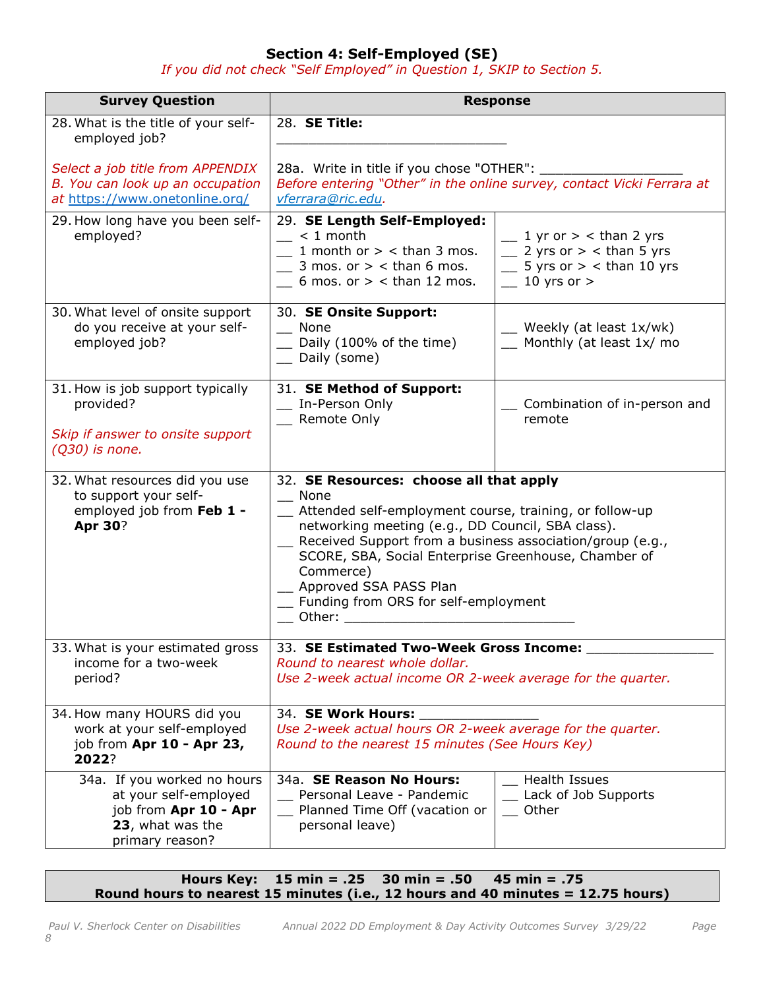## **Section 4: Self-Employed (SE)**

*If you did not check "Self Employed" in Question 1, SKIP to Section 5.* 

| <b>Survey Question</b>                                                                                               | <b>Response</b>                                                                                                                                                                                                                                                                                                                                                                        |                                                                                                                    |
|----------------------------------------------------------------------------------------------------------------------|----------------------------------------------------------------------------------------------------------------------------------------------------------------------------------------------------------------------------------------------------------------------------------------------------------------------------------------------------------------------------------------|--------------------------------------------------------------------------------------------------------------------|
| 28. What is the title of your self-<br>employed job?                                                                 | 28. <b>SE Title:</b>                                                                                                                                                                                                                                                                                                                                                                   |                                                                                                                    |
| Select a job title from APPENDIX<br>B. You can look up an occupation<br>at https://www.onetonline.org/               | 28a. Write in title if you chose "OTHER": ___<br>Before entering "Other" in the online survey, contact Vicki Ferrara at<br>vferrara@ric.edu.                                                                                                                                                                                                                                           |                                                                                                                    |
| 29. How long have you been self-<br>employed?                                                                        | 29. SE Length Self-Employed:<br>$< 1$ month<br>1 month or $>$ < than 3 mos.<br>3 mos. or $>$ < than 6 mos.<br>6 mos. or $>$ < than 12 mos.                                                                                                                                                                                                                                             | 1 yr or $>$ < than 2 yrs<br>$\frac{1}{2}$ 2 yrs or $>$ < than 5 yrs<br>5 yrs or $>$ < than 10 yrs<br>10 yrs or $>$ |
| 30. What level of onsite support<br>do you receive at your self-<br>employed job?                                    | 30. SE Onsite Support:<br>None<br>Daily (100% of the time)<br>Daily (some)                                                                                                                                                                                                                                                                                                             | $\mu$ Weekly (at least $1x/wk$ )<br>$\equiv$ Monthly (at least 1x/ mo                                              |
| 31. How is job support typically<br>provided?<br>Skip if answer to onsite support<br>$(Q30)$ is none.                | 31. SE Method of Support:<br>In-Person Only<br>Remote Only                                                                                                                                                                                                                                                                                                                             | Combination of in-person and<br>remote                                                                             |
| 32. What resources did you use<br>to support your self-<br>employed job from Feb 1 -<br><b>Apr 30?</b>               | 32. SE Resources: choose all that apply<br>$\equiv$ None<br>Attended self-employment course, training, or follow-up<br>networking meeting (e.g., DD Council, SBA class).<br>Received Support from a business association/group (e.g.,<br>SCORE, SBA, Social Enterprise Greenhouse, Chamber of<br>Commerce)<br>Approved SSA PASS Plan<br>Funding from ORS for self-employment<br>Other: |                                                                                                                    |
| 33. What is your estimated gross<br>income for a two-week<br>period?                                                 | 33. SE Estimated Two-Week Gross Income:<br>Round to nearest whole dollar.<br>Use 2-week actual income OR 2-week average for the quarter.                                                                                                                                                                                                                                               |                                                                                                                    |
| 34. How many HOURS did you<br>work at your self-employed<br>job from Apr 10 - Apr 23,<br>2022?                       | 34. SE Work Hours:<br>Use 2-week actual hours OR 2-week average for the quarter.<br>Round to the nearest 15 minutes (See Hours Key)                                                                                                                                                                                                                                                    |                                                                                                                    |
| 34a. If you worked no hours<br>at your self-employed<br>job from Apr 10 - Apr<br>23, what was the<br>primary reason? | 34a. SE Reason No Hours:<br>Personal Leave - Pandemic<br>Planned Time Off (vacation or<br>personal leave)                                                                                                                                                                                                                                                                              | <b>Health Issues</b><br>Lack of Job Supports<br>Other                                                              |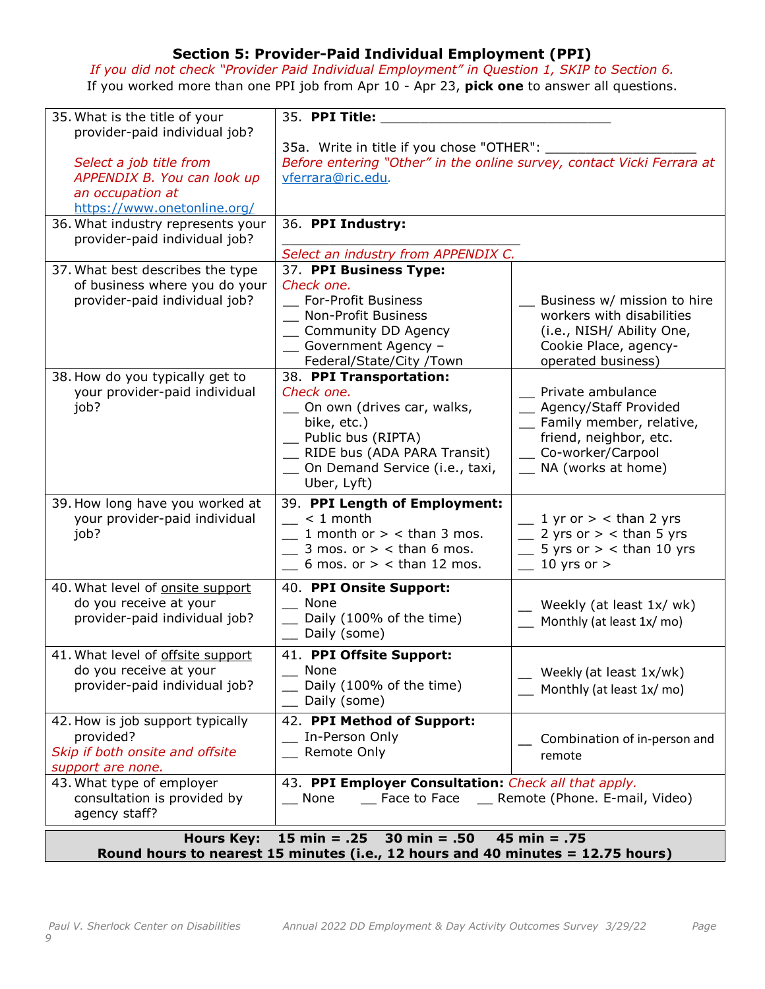## **Section 5: Provider-Paid Individual Employment (PPI)**

*If you did not check "Provider Paid Individual Employment" in Question 1, SKIP to Section 6.* If you worked more than one PPI job from Apr 10 - Apr 23, **pick one** to answer all questions.

| 35. What is the title of your<br>provider-paid individual job?<br>Select a job title from<br>APPENDIX B. You can look up<br>an occupation at<br>https://www.onetonline.org/<br>36. What industry represents your | 35. PPI Title:<br>35a. Write in title if you chose "OTHER": ____<br>Before entering "Other" in the online survey, contact Vicki Ferrara at<br>vferrara@ric.edu.<br>36. PPI Industry:               |                                                                                                                                                      |
|------------------------------------------------------------------------------------------------------------------------------------------------------------------------------------------------------------------|----------------------------------------------------------------------------------------------------------------------------------------------------------------------------------------------------|------------------------------------------------------------------------------------------------------------------------------------------------------|
| provider-paid individual job?                                                                                                                                                                                    | Select an industry from APPENDIX C.                                                                                                                                                                |                                                                                                                                                      |
| 37. What best describes the type<br>of business where you do your<br>provider-paid individual job?                                                                                                               | 37. PPI Business Type:<br>Check one.<br>For-Profit Business<br>Non-Profit Business<br>_ Community DD Agency<br>- Government Agency -<br>Federal/State/City /Town                                   | Business w/ mission to hire<br>workers with disabilities<br>(i.e., NISH/ Ability One,<br>Cookie Place, agency-<br>operated business)                 |
| 38. How do you typically get to<br>your provider-paid individual<br>job?                                                                                                                                         | 38. PPI Transportation:<br>Check one.<br>__ On own (drives car, walks,<br>bike, etc.)<br>__ Public bus (RIPTA)<br>_ RIDE bus (ADA PARA Transit)<br>_ On Demand Service (i.e., taxi,<br>Uber, Lyft) | _ Private ambulance<br>_ Agency/Staff Provided<br>Family member, relative,<br>friend, neighbor, etc.<br>_ Co-worker/Carpool<br>__ NA (works at home) |
| 39. How long have you worked at<br>your provider-paid individual<br>job?                                                                                                                                         | 39. PPI Length of Employment:<br>$< 1$ month<br>1 month or $>$ < than 3 mos.<br>3 mos. or $>$ < than 6 mos.<br>6 mos. or $>$ < than 12 mos.                                                        | $\frac{1}{2}$ yr or $>$ < than 2 yrs<br>$\frac{1}{2}$ 2 yrs or > < than 5 yrs<br>5 yrs or $>$ < than 10 yrs<br>10 yrs or $>$                         |
| 40. What level of onsite support<br>do you receive at your<br>provider-paid individual job?                                                                                                                      | 40. PPI Onsite Support:<br>__ None<br>Daily (100% of the time)<br>Daily (some)                                                                                                                     | $\mu$ Weekly (at least 1x/ wk)<br>$\equiv$ Monthly (at least 1x/mo)                                                                                  |
| 41. What level of offsite support<br>do you receive at your<br>provider-paid individual job?                                                                                                                     | 41. PPI Offsite Support:<br>__ None<br>Daily (100% of the time)<br>Daily (some)                                                                                                                    | Weekly (at least 1x/wk)<br>Monthly (at least 1x/mo)                                                                                                  |
| 42. How is job support typically<br>provided?<br>Skip if both onsite and offsite<br>support are none.                                                                                                            | 42. PPI Method of Support:<br>In-Person Only<br>Remote Only                                                                                                                                        | Combination of in-person and<br>remote                                                                                                               |
| 43. What type of employer<br>consultation is provided by<br>agency staff?                                                                                                                                        | 43. PPI Employer Consultation: Check all that apply.<br>__ Face to Face __ Remote (Phone. E-mail, Video)<br>$\sqrt{ }$ None                                                                        |                                                                                                                                                      |
| <b>Hours Key:</b>                                                                                                                                                                                                | 15 min = $.25$<br>30 min = $.50$                                                                                                                                                                   | 45 min = $.75$                                                                                                                                       |

**Round hours to nearest 15 minutes (i.e., 12 hours and 40 minutes = 12.75 hours)**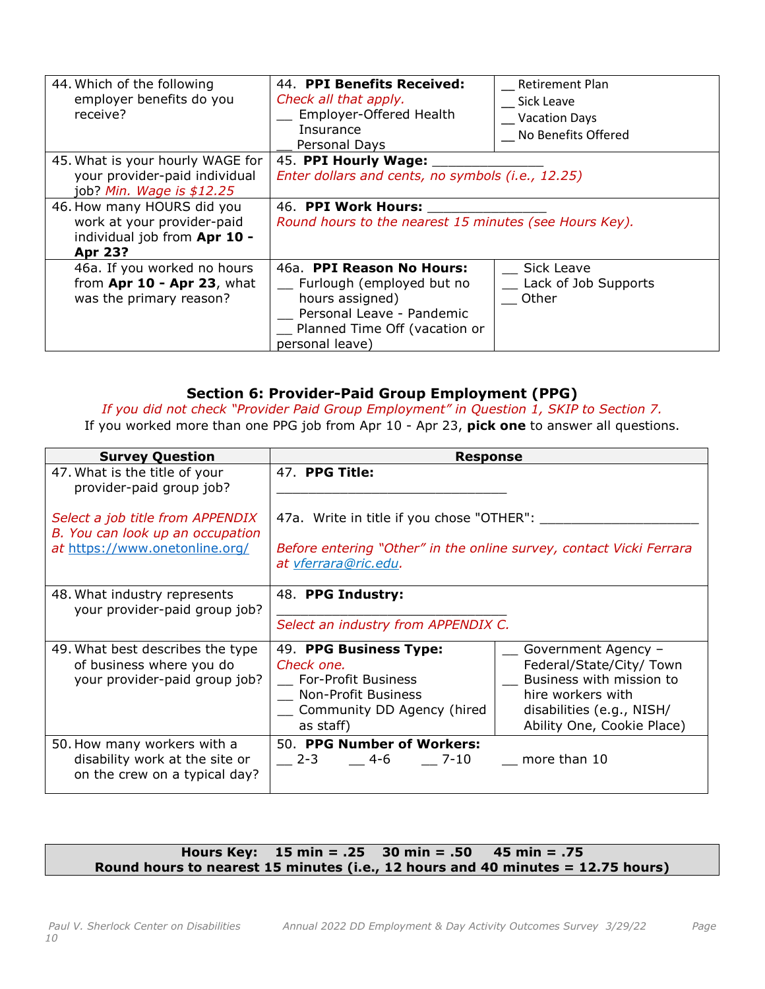| 44. Which of the following<br>employer benefits do you<br>receive?                                         | 44. PPI Benefits Received:<br>Check all that apply.<br>Employer-Offered Health<br>Insurance<br>Personal Days                                               | <b>Retirement Plan</b><br>Sick Leave<br><b>Vacation Days</b><br>No Benefits Offered |
|------------------------------------------------------------------------------------------------------------|------------------------------------------------------------------------------------------------------------------------------------------------------------|-------------------------------------------------------------------------------------|
| 45. What is your hourly WAGE for<br>your provider-paid individual<br>job? Min. Wage is \$12.25             | 45. PPI Hourly Wage:<br>Enter dollars and cents, no symbols (i.e., 12.25)                                                                                  |                                                                                     |
| 46. How many HOURS did you<br>work at your provider-paid<br>individual job from Apr 10 -<br><b>Apr 23?</b> | 46. PPI Work Hours:<br>Round hours to the nearest 15 minutes (see Hours Key).                                                                              |                                                                                     |
| 46a. If you worked no hours<br>from Apr 10 - Apr 23, what<br>was the primary reason?                       | 46a. PPI Reason No Hours:<br>Furlough (employed but no<br>hours assigned)<br>Personal Leave - Pandemic<br>Planned Time Off (vacation or<br>personal leave) | Sick Leave<br>Lack of Job Supports<br>Other                                         |

### **Section 6: Provider-Paid Group Employment (PPG)**

*If you did not check "Provider Paid Group Employment" in Question 1, SKIP to Section 7.* If you worked more than one PPG job from Apr 10 - Apr 23, **pick one** to answer all questions.

| <b>Survey Question</b>                                                                         | <b>Response</b>                                                                                                                      |                                                                                                                                                             |
|------------------------------------------------------------------------------------------------|--------------------------------------------------------------------------------------------------------------------------------------|-------------------------------------------------------------------------------------------------------------------------------------------------------------|
| 47. What is the title of your<br>provider-paid group job?                                      | 47. PPG Title:                                                                                                                       |                                                                                                                                                             |
| Select a job title from APPENDIX<br>B. You can look up an occupation                           | 47a. Write in title if you chose "OTHER": ___                                                                                        |                                                                                                                                                             |
| at https://www.onetonline.org/                                                                 | Before entering "Other" in the online survey, contact Vicki Ferrara<br>at vferrara@ric.edu.                                          |                                                                                                                                                             |
| 48. What industry represents<br>your provider-paid group job?                                  | 48. PPG Industry:                                                                                                                    |                                                                                                                                                             |
|                                                                                                | Select an industry from APPENDIX C.                                                                                                  |                                                                                                                                                             |
| 49. What best describes the type<br>of business where you do<br>your provider-paid group job?  | 49. PPG Business Type:<br>Check one.<br><b>For-Profit Business</b><br>Non-Profit Business<br>Community DD Agency (hired<br>as staff) | Government Agency -<br>Federal/State/City/ Town<br>Business with mission to<br>hire workers with<br>disabilities (e.g., NISH/<br>Ability One, Cookie Place) |
| 50. How many workers with a<br>disability work at the site or<br>on the crew on a typical day? | 50. PPG Number of Workers:<br>2-3 4-6 7-10 more than 10                                                                              |                                                                                                                                                             |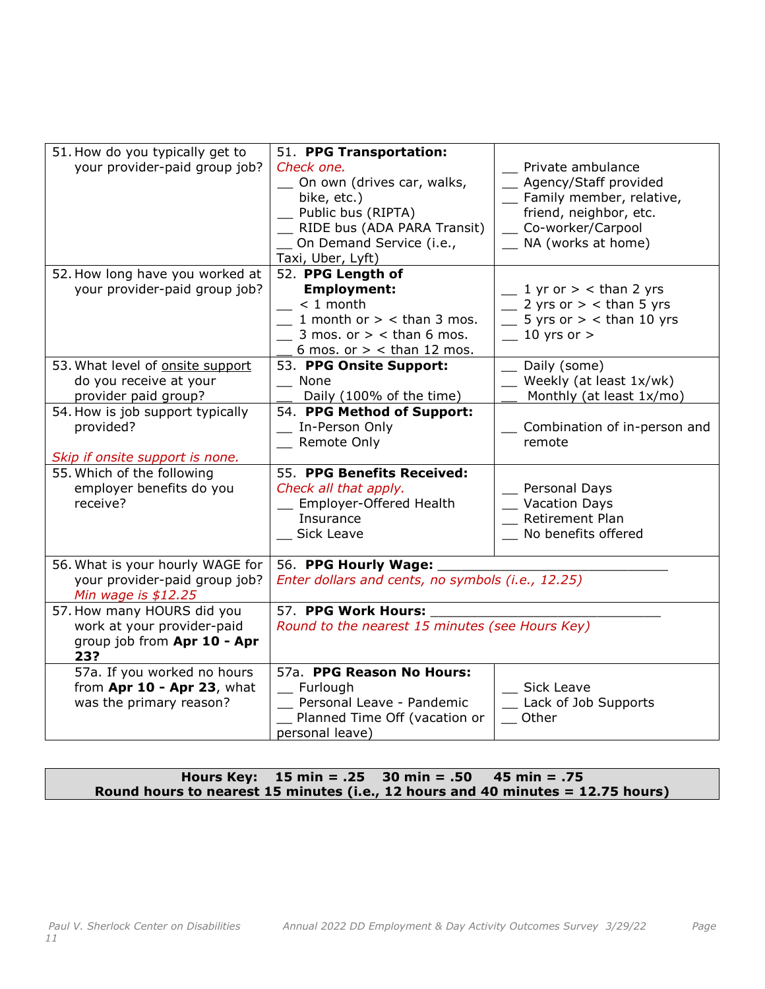| 51. How do you typically get to<br>your provider-paid group job?   | 51. PPG Transportation:<br>Check one.<br>On own (drives car, walks,<br>bike, etc.)<br>_ Public bus (RIPTA)<br>RIDE bus (ADA PARA Transit)<br>_ On Demand Service (i.e.,<br>Taxi, Uber, Lyft) | Private ambulance<br>_ Agency/Staff provided<br>_ Family member, relative,<br>friend, neighbor, etc.<br>_ Co-worker/Carpool<br>_ NA (works at home) |
|--------------------------------------------------------------------|----------------------------------------------------------------------------------------------------------------------------------------------------------------------------------------------|-----------------------------------------------------------------------------------------------------------------------------------------------------|
| 52. How long have you worked at                                    | 52. PPG Length of                                                                                                                                                                            |                                                                                                                                                     |
| your provider-paid group job?                                      | <b>Employment:</b><br>$\sim$ < 1 month<br>$\angle$ 1 month or > < than 3 mos.<br>$\frac{1}{2}$ 3 mos. or > < than 6 mos.<br>6 mos. or $>$ < than 12 mos.                                     | $\frac{1}{2}$ yr or $>$ < than 2 yrs<br>$\frac{1}{2}$ 2 yrs or > < than 5 yrs<br>$\frac{1}{2}$ 5 yrs or > < than 10 yrs<br>$-10$ yrs or >           |
| 53. What level of onsite support                                   | 53. PPG Onsite Support:                                                                                                                                                                      | Daily (some)                                                                                                                                        |
| do you receive at your                                             | __ None                                                                                                                                                                                      | Weekly (at least 1x/wk)                                                                                                                             |
| provider paid group?                                               | Daily (100% of the time)                                                                                                                                                                     | Monthly (at least 1x/mo)                                                                                                                            |
| 54. How is job support typically                                   | 54. PPG Method of Support:                                                                                                                                                                   |                                                                                                                                                     |
| provided?                                                          | _ In-Person Only                                                                                                                                                                             | _ Combination of in-person and                                                                                                                      |
|                                                                    | <b>Remote Only</b>                                                                                                                                                                           | remote                                                                                                                                              |
| Skip if onsite support is none.                                    |                                                                                                                                                                                              |                                                                                                                                                     |
| 55. Which of the following<br>employer benefits do you<br>receive? | 55. PPG Benefits Received:<br>Check all that apply.<br>Employer-Offered Health<br>Insurance<br>Sick Leave                                                                                    | Personal Days<br><b>Vacation Days</b><br><b>Retirement Plan</b><br>No benefits offered                                                              |
| 56. What is your hourly WAGE for                                   | 56. PPG Hourly Wage:                                                                                                                                                                         |                                                                                                                                                     |
| your provider-paid group job?<br>Min wage is $$12.25$              | Enter dollars and cents, no symbols (i.e., 12.25)                                                                                                                                            |                                                                                                                                                     |
| 57. How many HOURS did you                                         | 57. PPG Work Hours:                                                                                                                                                                          |                                                                                                                                                     |
| work at your provider-paid<br>group job from Apr 10 - Apr<br>23?   | Round to the nearest 15 minutes (see Hours Key)                                                                                                                                              |                                                                                                                                                     |
| 57a. If you worked no hours                                        | 57a. PPG Reason No Hours:                                                                                                                                                                    |                                                                                                                                                     |
| from Apr 10 - Apr 23, what                                         | _ Furlough                                                                                                                                                                                   | _ Sick Leave                                                                                                                                        |
| was the primary reason?                                            | Personal Leave - Pandemic                                                                                                                                                                    | Lack of Job Supports                                                                                                                                |
|                                                                    | Planned Time Off (vacation or                                                                                                                                                                | Other                                                                                                                                               |
|                                                                    | personal leave)                                                                                                                                                                              |                                                                                                                                                     |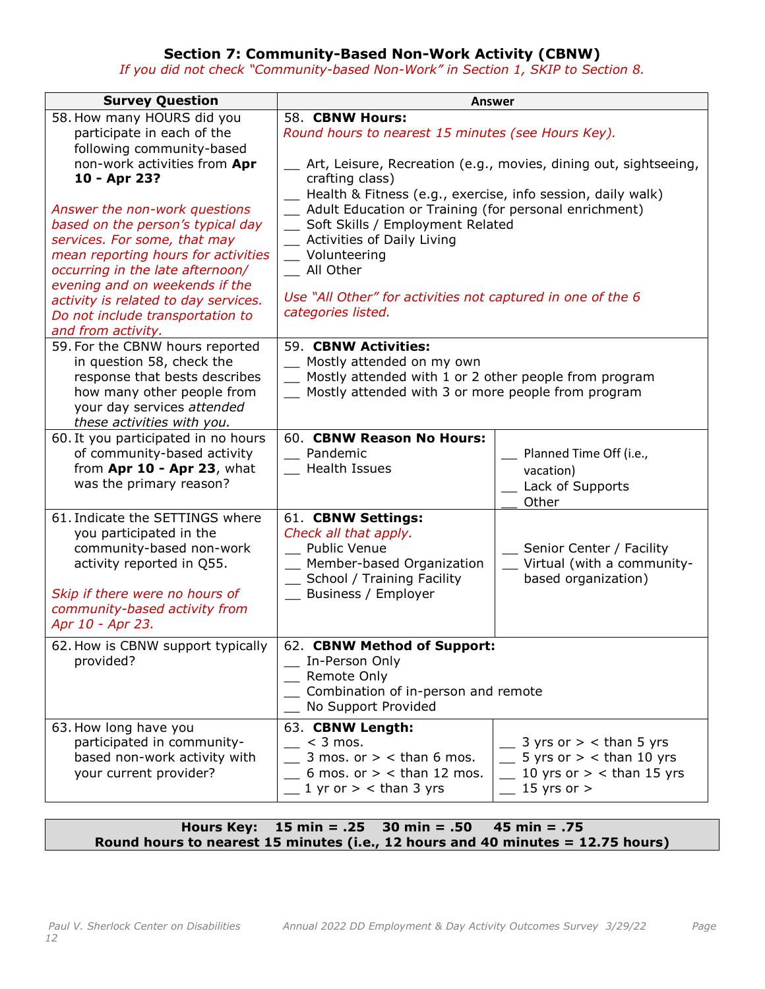### **Section 7: Community-Based Non-Work Activity (CBNW)**

*If you did not check "Community-based Non-Work" in Section 1, SKIP to Section 8.* 

| <b>Survey Question</b>                                                                                                                                                                                                                                                                                                                                                                                                                                     | <b>Answer</b>                                                                                                                                                                                                                                                                                                                                                                                                                                                                        |                                                                                                                         |
|------------------------------------------------------------------------------------------------------------------------------------------------------------------------------------------------------------------------------------------------------------------------------------------------------------------------------------------------------------------------------------------------------------------------------------------------------------|--------------------------------------------------------------------------------------------------------------------------------------------------------------------------------------------------------------------------------------------------------------------------------------------------------------------------------------------------------------------------------------------------------------------------------------------------------------------------------------|-------------------------------------------------------------------------------------------------------------------------|
| 58. How many HOURS did you<br>participate in each of the<br>following community-based<br>non-work activities from Apr<br>10 - Apr 23?<br>Answer the non-work questions<br>based on the person's typical day<br>services. For some, that may<br>mean reporting hours for activities<br>occurring in the late afternoon/<br>evening and on weekends if the<br>activity is related to day services.<br>Do not include transportation to<br>and from activity. | 58. CBNW Hours:<br>Round hours to nearest 15 minutes (see Hours Key).<br>Art, Leisure, Recreation (e.g., movies, dining out, sightseeing,<br>crafting class)<br>- Health & Fitness (e.g., exercise, info session, daily walk)<br>_ Adult Education or Training (for personal enrichment)<br>_ Soft Skills / Employment Related<br>_ Activities of Daily Living<br>_ Volunteering<br>_ All Other<br>Use "All Other" for activities not captured in one of the 6<br>categories listed. |                                                                                                                         |
| 59. For the CBNW hours reported<br>in question 58, check the<br>response that bests describes<br>how many other people from<br>your day services attended<br>these activities with you.                                                                                                                                                                                                                                                                    | 59. CBNW Activities:<br>_ Mostly attended on my own<br>_ Mostly attended with 1 or 2 other people from program<br>Mostly attended with 3 or more people from program                                                                                                                                                                                                                                                                                                                 |                                                                                                                         |
| 60. It you participated in no hours<br>of community-based activity<br>from Apr 10 - Apr 23, what<br>was the primary reason?                                                                                                                                                                                                                                                                                                                                | 60. CBNW Reason No Hours:<br>Pandemic<br>Health Issues                                                                                                                                                                                                                                                                                                                                                                                                                               | Planned Time Off (i.e.,<br>vacation)<br>Lack of Supports<br>Other                                                       |
| 61. Indicate the SETTINGS where<br>you participated in the<br>community-based non-work<br>activity reported in Q55.<br>Skip if there were no hours of<br>community-based activity from<br>Apr 10 - Apr 23.                                                                                                                                                                                                                                                 | 61. CBNW Settings:<br>Check all that apply.<br>_ Public Venue<br>_ Member-based Organization<br>_ School / Training Facility<br>Business / Employer                                                                                                                                                                                                                                                                                                                                  | Senior Center / Facility<br>Virtual (with a community-<br>based organization)                                           |
| 62. How is CBNW support typically<br>provided?                                                                                                                                                                                                                                                                                                                                                                                                             | 62. CBNW Method of Support:<br>__ In-Person Only<br>Remote Only<br>Combination of in-person and remote<br>No Support Provided                                                                                                                                                                                                                                                                                                                                                        |                                                                                                                         |
| 63. How long have you<br>participated in community-<br>based non-work activity with<br>your current provider?                                                                                                                                                                                                                                                                                                                                              | 63. CBNW Length:<br>$\sim$ < 3 mos.<br>3 mos. or $>$ < than 6 mos.<br>$\leq$ 6 mos. or > < than 12 mos.<br>$\_$ 1 yr or $>$ < than 3 yrs                                                                                                                                                                                                                                                                                                                                             | 3 yrs or $>$ < than 5 yrs<br>$\frac{1}{2}$ 5 yrs or > < than 10 yrs<br>$\pm$ 10 yrs or > < than 15 yrs<br>15 yrs or $>$ |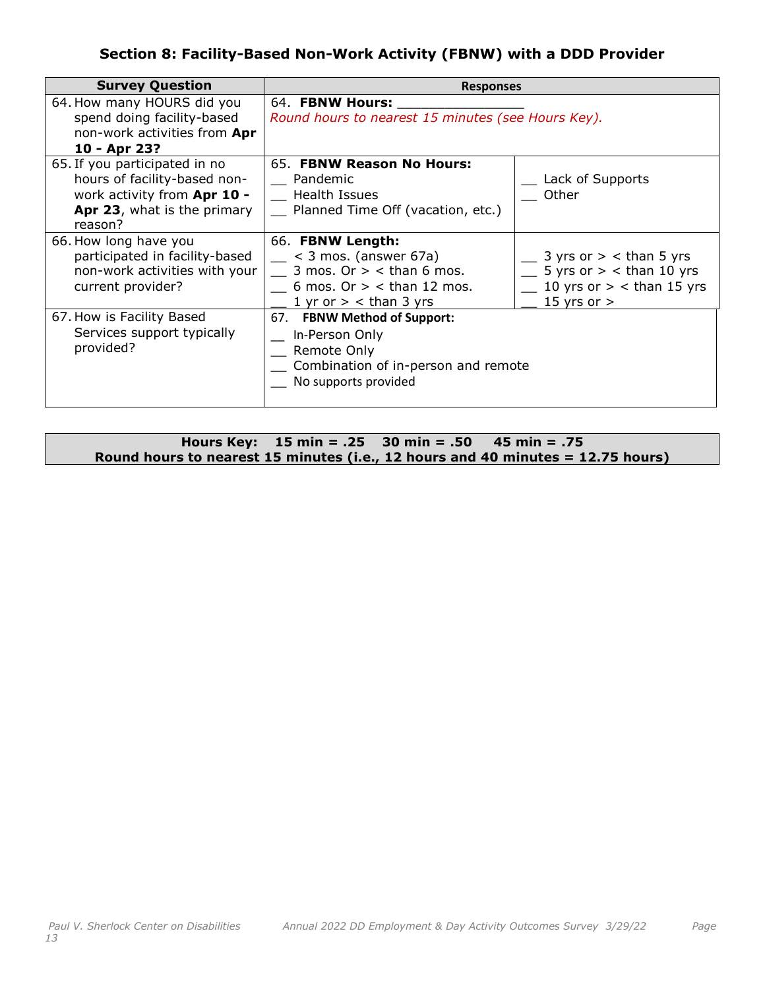## **Section 8: Facility-Based Non-Work Activity (FBNW) with a DDD Provider**

| <b>Survey Question</b>                                                                                                                 | <b>Responses</b>                                                                                                                       |                                                                                                                       |
|----------------------------------------------------------------------------------------------------------------------------------------|----------------------------------------------------------------------------------------------------------------------------------------|-----------------------------------------------------------------------------------------------------------------------|
| 64. How many HOURS did you<br>spend doing facility-based<br>non-work activities from Apr<br>10 - Apr 23?                               | 64. FBNW Hours:<br>Round hours to nearest 15 minutes (see Hours Key).                                                                  |                                                                                                                       |
| 65. If you participated in no<br>hours of facility-based non-<br>work activity from Apr 10 -<br>Apr 23, what is the primary<br>reason? | 65. FBNW Reason No Hours:<br>Pandemic<br><b>Health Issues</b><br>Planned Time Off (vacation, etc.)                                     | Lack of Supports<br>Other                                                                                             |
| 66. How long have you<br>participated in facility-based<br>non-work activities with your<br>current provider?                          | 66. FBNW Length:<br>$<$ 3 mos. (answer 67a)<br>3 mos. Or $>$ < than 6 mos.<br>6 mos. Or $>$ < than 12 mos.<br>1 yr or $>$ < than 3 yrs | $\frac{1}{2}$ 3 yrs or $>$ < than 5 yrs<br>5 yrs or $>$ < than 10 yrs<br>10 yrs or $>$ < than 15 yrs<br>15 yrs or $>$ |
| 67. How is Facility Based<br>Services support typically<br>provided?                                                                   | 67. FBNW Method of Support:<br>In-Person Only<br>Remote Only<br>Combination of in-person and remote<br>No supports provided            |                                                                                                                       |

|  | Hours Key: $15 \text{ min} = .25$ 30 min = $.50$ 45 min = $.75$                 |
|--|---------------------------------------------------------------------------------|
|  | Round hours to nearest 15 minutes (i.e., 12 hours and 40 minutes = 12.75 hours) |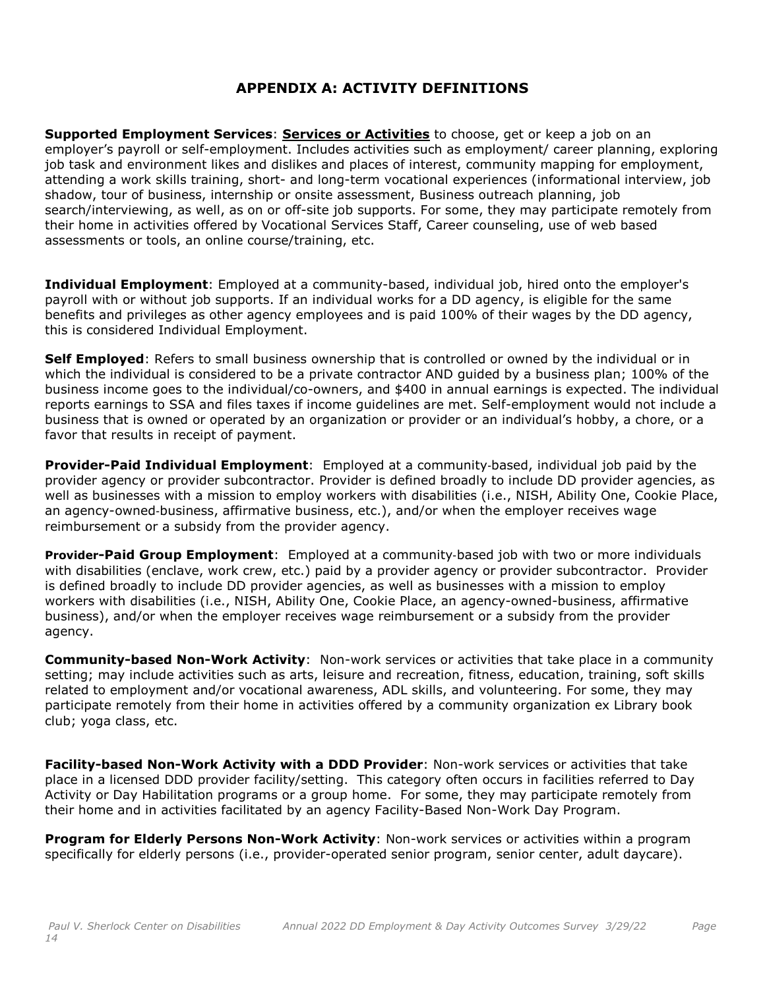## **APPENDIX A: ACTIVITY DEFINITIONS**

**Supported Employment Services**: **Services or Activities** to choose, get or keep a job on an employer's payroll or self-employment. Includes activities such as employment/ career planning, exploring job task and environment likes and dislikes and places of interest, community mapping for employment, attending a work skills training, short- and long-term vocational experiences (informational interview, job shadow, tour of business, internship or onsite assessment, Business outreach planning, job search/interviewing, as well, as on or off-site job supports. For some, they may participate remotely from their home in activities offered by Vocational Services Staff, Career counseling, use of web based assessments or tools, an online course/training, etc.

**Individual Employment**: Employed at a community-based, individual job, hired onto the employer's payroll with or without job supports. If an individual works for a DD agency, is eligible for the same benefits and privileges as other agency employees and is paid 100% of their wages by the DD agency, this is considered Individual Employment.

**Self Employed**: Refers to small business ownership that is controlled or owned by the individual or in which the individual is considered to be a private contractor AND guided by a business plan; 100% of the business income goes to the individual/co-owners, and \$400 in annual earnings is expected. The individual reports earnings to SSA and files taxes if income guidelines are met. Self-employment would not include a business that is owned or operated by an organization or provider or an individual's hobby, a chore, or a favor that results in receipt of payment.

**Provider-Paid Individual Employment**: Employed at a community‐based, individual job paid by the provider agency or provider subcontractor. Provider is defined broadly to include DD provider agencies, as well as businesses with a mission to employ workers with disabilities (i.e., NISH, Ability One, Cookie Place, an agency-owned‐business, affirmative business, etc.), and/or when the employer receives wage reimbursement or a subsidy from the provider agency.

**Provider-Paid Group Employment**: Employed at a community‐based job with two or more individuals with disabilities (enclave, work crew, etc.) paid by a provider agency or provider subcontractor. Provider is defined broadly to include DD provider agencies, as well as businesses with a mission to employ workers with disabilities (i.e., NISH, Ability One, Cookie Place, an agency-owned-business, affirmative business), and/or when the employer receives wage reimbursement or a subsidy from the provider agency.

**Community-based Non-Work Activity**: Non-work services or activities that take place in a community setting; may include activities such as arts, leisure and recreation, fitness, education, training, soft skills related to employment and/or vocational awareness, ADL skills, and volunteering. For some, they may participate remotely from their home in activities offered by a community organization ex Library book club; yoga class, etc.

**Facility-based Non-Work Activity with a DDD Provider**: Non-work services or activities that take place in a licensed DDD provider facility/setting. This category often occurs in facilities referred to Day Activity or Day Habilitation programs or a group home. For some, they may participate remotely from their home and in activities facilitated by an agency Facility-Based Non-Work Day Program.

**Program for Elderly Persons Non-Work Activity**: Non-work services or activities within a program specifically for elderly persons (i.e., provider-operated senior program, senior center, adult daycare).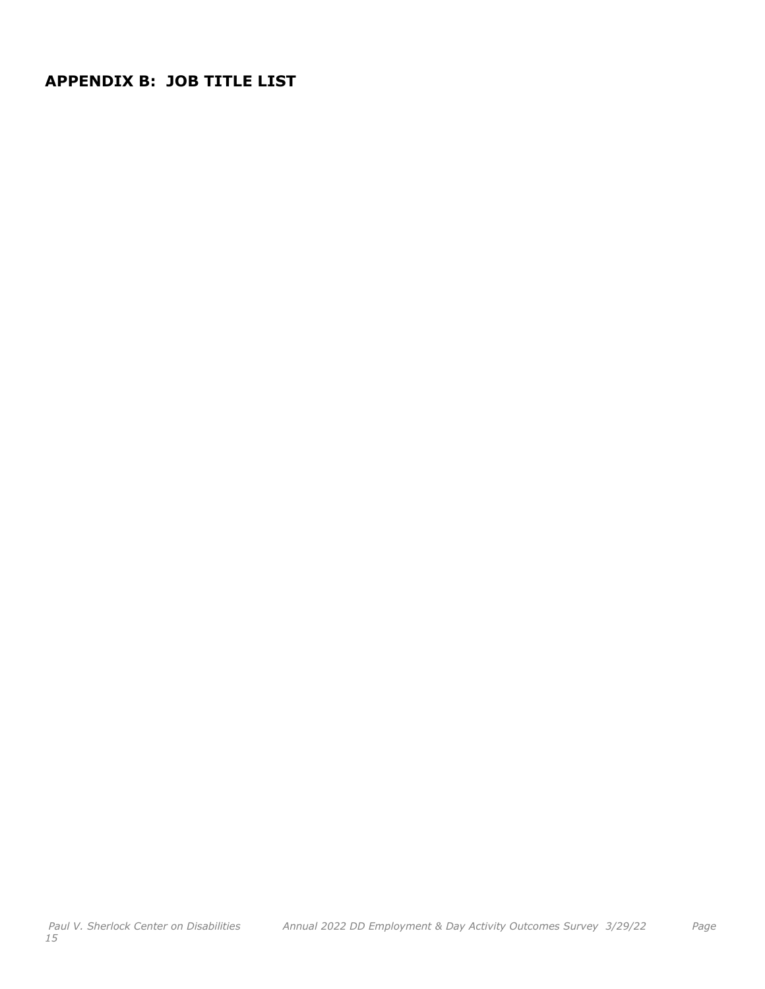**APPENDIX B: JOB TITLE LIST**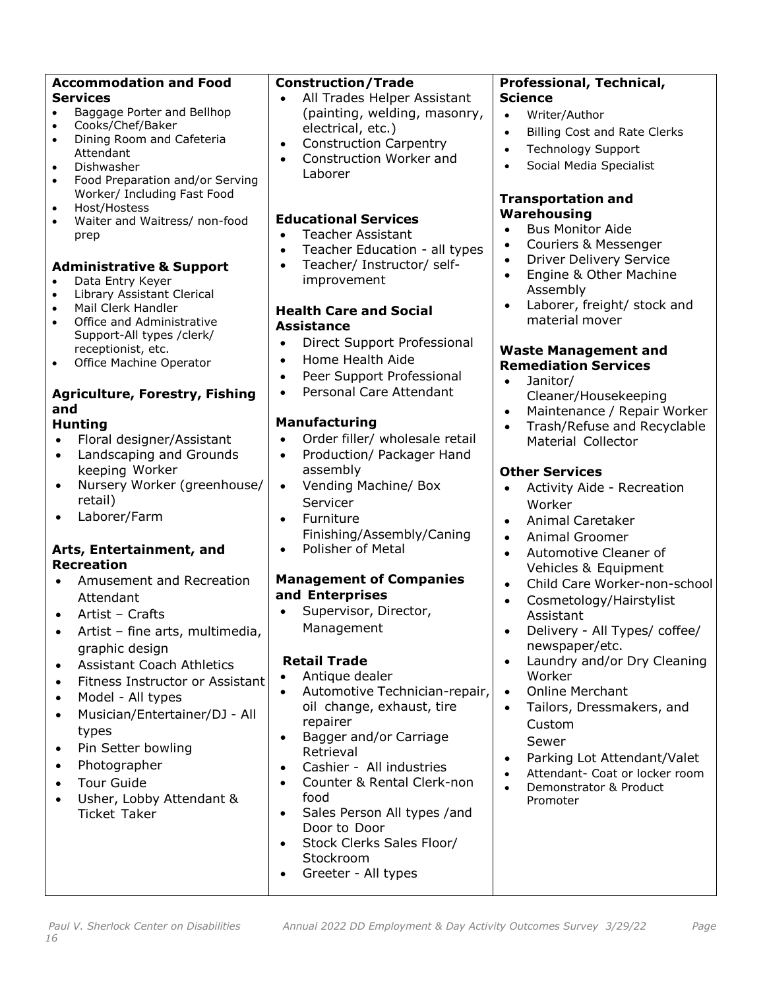| <b>Accommodation and Food</b><br><b>Services</b><br>Baggage Porter and Bellhop<br>$\bullet$                                                                                                                                                                                                                                                                                                                                                                                                                                                                                                                                                                                                                                                                                                                                                                                                                                                                                                                                                                                                                                                                                                                         | <b>Construction/Trade</b><br>All Trades Helper Assistant<br>(painting, welding, masonry,                                                                                                                                                                                                                                                                                                                                                                                                                                                                                                                                                                                                                                                                                                                                                                                                                                                                                                                                                                                            | Professional, Technical,<br><b>Science</b><br>Writer/Author<br>$\bullet$                                                                                                                                                                                                                                                                                                                                                                                                                                                                                                                                                                                                                                                                                                                                                                                                                                                                                                                                                                                                                                                                                                       |
|---------------------------------------------------------------------------------------------------------------------------------------------------------------------------------------------------------------------------------------------------------------------------------------------------------------------------------------------------------------------------------------------------------------------------------------------------------------------------------------------------------------------------------------------------------------------------------------------------------------------------------------------------------------------------------------------------------------------------------------------------------------------------------------------------------------------------------------------------------------------------------------------------------------------------------------------------------------------------------------------------------------------------------------------------------------------------------------------------------------------------------------------------------------------------------------------------------------------|-------------------------------------------------------------------------------------------------------------------------------------------------------------------------------------------------------------------------------------------------------------------------------------------------------------------------------------------------------------------------------------------------------------------------------------------------------------------------------------------------------------------------------------------------------------------------------------------------------------------------------------------------------------------------------------------------------------------------------------------------------------------------------------------------------------------------------------------------------------------------------------------------------------------------------------------------------------------------------------------------------------------------------------------------------------------------------------|--------------------------------------------------------------------------------------------------------------------------------------------------------------------------------------------------------------------------------------------------------------------------------------------------------------------------------------------------------------------------------------------------------------------------------------------------------------------------------------------------------------------------------------------------------------------------------------------------------------------------------------------------------------------------------------------------------------------------------------------------------------------------------------------------------------------------------------------------------------------------------------------------------------------------------------------------------------------------------------------------------------------------------------------------------------------------------------------------------------------------------------------------------------------------------|
| Cooks/Chef/Baker<br>$\bullet$<br>Dining Room and Cafeteria<br>$\bullet$<br>Attendant<br>Dishwasher<br>$\bullet$<br>Food Preparation and/or Serving<br>$\bullet$                                                                                                                                                                                                                                                                                                                                                                                                                                                                                                                                                                                                                                                                                                                                                                                                                                                                                                                                                                                                                                                     | electrical, etc.)<br><b>Construction Carpentry</b><br>$\bullet$<br>Construction Worker and<br>$\bullet$<br>Laborer                                                                                                                                                                                                                                                                                                                                                                                                                                                                                                                                                                                                                                                                                                                                                                                                                                                                                                                                                                  | <b>Billing Cost and Rate Clerks</b><br>$\bullet$<br><b>Technology Support</b><br>$\bullet$<br>Social Media Specialist<br>$\bullet$                                                                                                                                                                                                                                                                                                                                                                                                                                                                                                                                                                                                                                                                                                                                                                                                                                                                                                                                                                                                                                             |
| Worker/ Including Fast Food<br>Host/Hostess<br>$\bullet$<br>Waiter and Waitress/ non-food<br>$\bullet$<br>prep<br><b>Administrative &amp; Support</b><br>Data Entry Keyer<br>$\bullet$<br>Library Assistant Clerical<br>$\bullet$<br>Mail Clerk Handler<br>$\bullet$<br>Office and Administrative<br>$\bullet$<br>Support-All types /clerk/<br>receptionist, etc.<br>Office Machine Operator<br>$\bullet$<br><b>Agriculture, Forestry, Fishing</b><br>and<br><b>Hunting</b><br>Floral designer/Assistant<br>$\bullet$<br>Landscaping and Grounds<br>$\bullet$<br>keeping Worker<br>Nursery Worker (greenhouse/<br>$\bullet$<br>retail)<br>Laborer/Farm<br>$\bullet$<br>Arts, Entertainment, and<br><b>Recreation</b><br>Amusement and Recreation<br>٠<br>Attendant<br>Artist - Crafts<br>$\bullet$<br>Artist - fine arts, multimedia,<br>graphic design<br><b>Assistant Coach Athletics</b><br>$\bullet$<br>Fitness Instructor or Assistant<br>$\bullet$<br>Model - All types<br>$\bullet$<br>Musician/Entertainer/DJ - All<br>$\bullet$<br>types<br>Pin Setter bowling<br>$\bullet$<br>Photographer<br>$\bullet$<br><b>Tour Guide</b><br>$\bullet$<br>Usher, Lobby Attendant &<br>$\bullet$<br><b>Ticket Taker</b> | <b>Educational Services</b><br><b>Teacher Assistant</b><br>$\bullet$<br>Teacher Education - all types<br>Teacher/ Instructor/ self-<br>improvement<br><b>Health Care and Social</b><br><b>Assistance</b><br>Direct Support Professional<br>$\bullet$<br>Home Health Aide<br>$\bullet$<br>Peer Support Professional<br>$\bullet$<br>Personal Care Attendant<br>$\bullet$<br><b>Manufacturing</b><br>Order filler/ wholesale retail<br>$\bullet$<br>Production/ Packager Hand<br>$\bullet$<br>assembly<br>Vending Machine/ Box<br>$\bullet$<br>Servicer<br>Furniture<br>$\bullet$<br>Finishing/Assembly/Caning<br>Polisher of Metal<br>$\bullet$<br><b>Management of Companies</b><br>and Enterprises<br>Supervisor, Director,<br>$\bullet$<br>Management<br><b>Retail Trade</b><br>Antique dealer<br>Automotive Technician-repair,<br>$\bullet$<br>oil change, exhaust, tire<br>repairer<br>Bagger and/or Carriage<br>$\bullet$<br>Retrieval<br>Cashier - All industries<br>$\bullet$<br>Counter & Rental Clerk-non<br>$\bullet$<br>food<br>Sales Person All types /and<br>$\bullet$ | <b>Transportation and</b><br>Warehousing<br><b>Bus Monitor Aide</b><br>$\bullet$<br>Couriers & Messenger<br>$\bullet$<br><b>Driver Delivery Service</b><br>$\bullet$<br>Engine & Other Machine<br>$\bullet$<br>Assembly<br>Laborer, freight/ stock and<br>$\bullet$<br>material mover<br><b>Waste Management and</b><br><b>Remediation Services</b><br>Janitor/<br>$\bullet$<br>Cleaner/Housekeeping<br>Maintenance / Repair Worker<br>$\bullet$<br>Trash/Refuse and Recyclable<br>$\bullet$<br>Material Collector<br><b>Other Services</b><br>Activity Aide - Recreation<br>$\bullet$<br>Worker<br>Animal Caretaker<br>$\bullet$<br>Animal Groomer<br>$\bullet$<br>Automotive Cleaner of<br>$\bullet$<br>Vehicles & Equipment<br>Child Care Worker-non-school<br>$\bullet$<br>Cosmetology/Hairstylist<br>$\bullet$<br>Assistant<br>Delivery - All Types/ coffee/<br>newspaper/etc.<br>Laundry and/or Dry Cleaning<br>$\bullet$<br>Worker<br><b>Online Merchant</b><br>$\bullet$<br>Tailors, Dressmakers, and<br>$\bullet$<br>Custom<br>Sewer<br>Parking Lot Attendant/Valet<br>$\bullet$<br>Attendant- Coat or locker room<br>Demonstrator & Product<br>$\bullet$<br>Promoter |
|                                                                                                                                                                                                                                                                                                                                                                                                                                                                                                                                                                                                                                                                                                                                                                                                                                                                                                                                                                                                                                                                                                                                                                                                                     | Door to Door<br>Stock Clerks Sales Floor/<br>$\bullet$<br>Stockroom<br>Greeter - All types<br>$\bullet$                                                                                                                                                                                                                                                                                                                                                                                                                                                                                                                                                                                                                                                                                                                                                                                                                                                                                                                                                                             |                                                                                                                                                                                                                                                                                                                                                                                                                                                                                                                                                                                                                                                                                                                                                                                                                                                                                                                                                                                                                                                                                                                                                                                |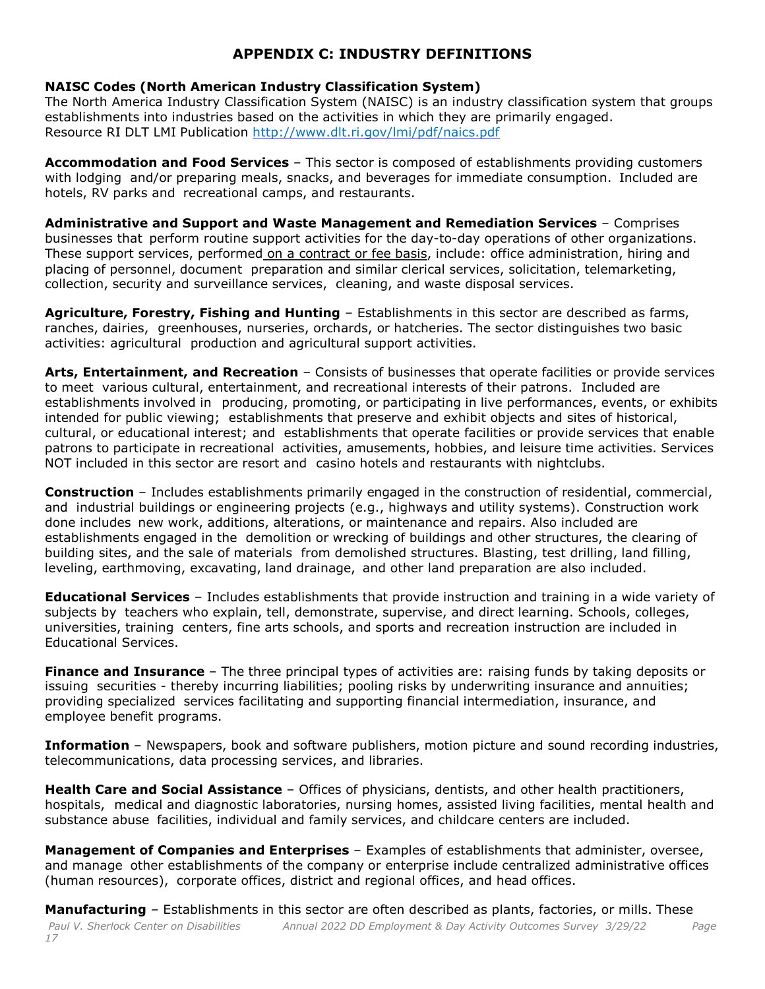## **APPENDIX C: INDUSTRY DEFINITIONS**

#### **NAISC Codes (North American Industry Classification System)**

The North America Industry Classification System (NAISC) is an industry classification system that groups establishments into industries based on the activities in which they are primarily engaged. Resource RI DLT LMI Publication <http://www.dlt.ri.gov/lmi/pdf/naics.pdf>

**Accommodation and Food Services** – This sector is composed of establishments providing customers with lodging and/or preparing meals, snacks, and beverages for immediate consumption. Included are hotels, RV parks and recreational camps, and restaurants.

**Administrative and Support and Waste Management and Remediation Services** – Comprises businesses that perform routine support activities for the day-to-day operations of other organizations. These support services, performed on a contract or fee basis, include: office administration, hiring and placing of personnel, document preparation and similar clerical services, solicitation, telemarketing, collection, security and surveillance services, cleaning, and waste disposal services.

**Agriculture, Forestry, Fishing and Hunting** – Establishments in this sector are described as farms, ranches, dairies, greenhouses, nurseries, orchards, or hatcheries. The sector distinguishes two basic activities: agricultural production and agricultural support activities.

**Arts, Entertainment, and Recreation** – Consists of businesses that operate facilities or provide services to meet various cultural, entertainment, and recreational interests of their patrons. Included are establishments involved in producing, promoting, or participating in live performances, events, or exhibits intended for public viewing; establishments that preserve and exhibit objects and sites of historical, cultural, or educational interest; and establishments that operate facilities or provide services that enable patrons to participate in recreational activities, amusements, hobbies, and leisure time activities. Services NOT included in this sector are resort and casino hotels and restaurants with nightclubs.

**Construction** – Includes establishments primarily engaged in the construction of residential, commercial, and industrial buildings or engineering projects (e.g., highways and utility systems). Construction work done includes new work, additions, alterations, or maintenance and repairs. Also included are establishments engaged in the demolition or wrecking of buildings and other structures, the clearing of building sites, and the sale of materials from demolished structures. Blasting, test drilling, land filling, leveling, earthmoving, excavating, land drainage, and other land preparation are also included.

**Educational Services** – Includes establishments that provide instruction and training in a wide variety of subjects by teachers who explain, tell, demonstrate, supervise, and direct learning. Schools, colleges, universities, training centers, fine arts schools, and sports and recreation instruction are included in Educational Services.

**Finance and Insurance** – The three principal types of activities are: raising funds by taking deposits or issuing securities - thereby incurring liabilities; pooling risks by underwriting insurance and annuities; providing specialized services facilitating and supporting financial intermediation, insurance, and employee benefit programs.

**Information** – Newspapers, book and software publishers, motion picture and sound recording industries, telecommunications, data processing services, and libraries.

**Health Care and Social Assistance** – Offices of physicians, dentists, and other health practitioners, hospitals, medical and diagnostic laboratories, nursing homes, assisted living facilities, mental health and substance abuse facilities, individual and family services, and childcare centers are included.

**Management of Companies and Enterprises** – Examples of establishments that administer, oversee, and manage other establishments of the company or enterprise include centralized administrative offices (human resources), corporate offices, district and regional offices, and head offices.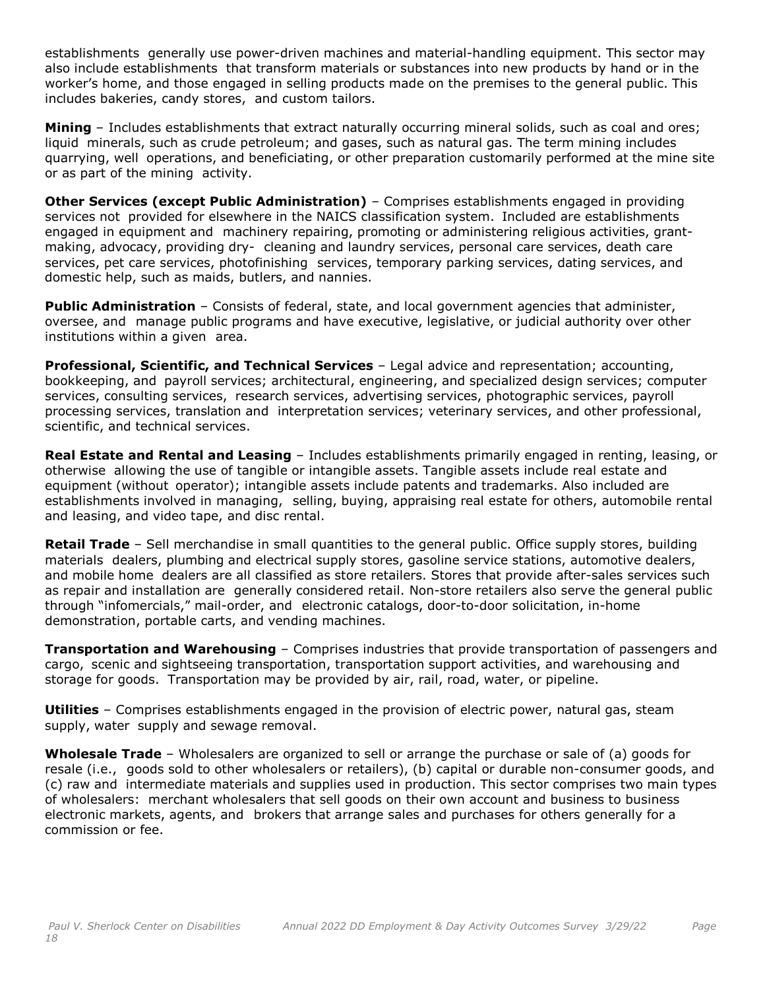establishments generally use power-driven machines and material-handling equipment. This sector may also include establishments that transform materials or substances into new products by hand or in the worker's home, and those engaged in selling products made on the premises to the general public. This includes bakeries, candy stores, and custom tailors.

**Mining** – Includes establishments that extract naturally occurring mineral solids, such as coal and ores; liquid minerals, such as crude petroleum; and gases, such as natural gas. The term mining includes quarrying, well operations, and beneficiating, or other preparation customarily performed at the mine site or as part of the mining activity.

**Other Services (except Public Administration)** – Comprises establishments engaged in providing services not provided for elsewhere in the NAICS classification system. Included are establishments engaged in equipment and machinery repairing, promoting or administering religious activities, grantmaking, advocacy, providing dry- cleaning and laundry services, personal care services, death care services, pet care services, photofinishing services, temporary parking services, dating services, and domestic help, such as maids, butlers, and nannies.

**Public Administration** – Consists of federal, state, and local government agencies that administer, oversee, and manage public programs and have executive, legislative, or judicial authority over other institutions within a given area.

**Professional, Scientific, and Technical Services** – Legal advice and representation; accounting, bookkeeping, and payroll services; architectural, engineering, and specialized design services; computer services, consulting services, research services, advertising services, photographic services, payroll processing services, translation and interpretation services; veterinary services, and other professional, scientific, and technical services.

**Real Estate and Rental and Leasing** – Includes establishments primarily engaged in renting, leasing, or otherwise allowing the use of tangible or intangible assets. Tangible assets include real estate and equipment (without operator); intangible assets include patents and trademarks. Also included are establishments involved in managing, selling, buying, appraising real estate for others, automobile rental and leasing, and video tape, and disc rental.

**Retail Trade** – Sell merchandise in small quantities to the general public. Office supply stores, building materials dealers, plumbing and electrical supply stores, gasoline service stations, automotive dealers, and mobile home dealers are all classified as store retailers. Stores that provide after-sales services such as repair and installation are generally considered retail. Non-store retailers also serve the general public through "infomercials," mail-order, and electronic catalogs, door-to-door solicitation, in-home demonstration, portable carts, and vending machines.

**Transportation and Warehousing** – Comprises industries that provide transportation of passengers and cargo, scenic and sightseeing transportation, transportation support activities, and warehousing and storage for goods. Transportation may be provided by air, rail, road, water, or pipeline.

**Utilities** – Comprises establishments engaged in the provision of electric power, natural gas, steam supply, water supply and sewage removal.

**Wholesale Trade** – Wholesalers are organized to sell or arrange the purchase or sale of (a) goods for resale (i.e., goods sold to other wholesalers or retailers), (b) capital or durable non-consumer goods, and (c) raw and intermediate materials and supplies used in production. This sector comprises two main types of wholesalers: merchant wholesalers that sell goods on their own account and business to business electronic markets, agents, and brokers that arrange sales and purchases for others generally for a commission or fee.